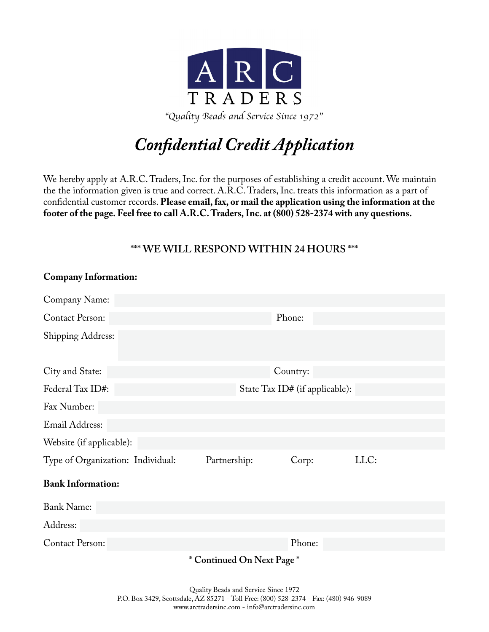

# *Confidential Credit Application*

We hereby apply at A.R.C. Traders, Inc. for the purposes of establishing a credit account. We maintain the the information given is true and correct. A.R.C. Traders, Inc. treats this information as a part of confidential customer records. **Please email, fax, or mail the application using the information at the footer of the page. Feel free to call A.R.C. Traders, Inc. at (800) 528-2374 with any questions.**

## **\*\*\* WE WILL RESPOND WITHIN 24 HOURS \*\*\***

**Company Information:**

| Company Name:                     |                                     |                                |      |
|-----------------------------------|-------------------------------------|--------------------------------|------|
| <b>Contact Person:</b>            |                                     | Phone:                         |      |
| <b>Shipping Address:</b>          |                                     |                                |      |
| City and State:                   |                                     | Country:                       |      |
| Federal Tax ID#:                  |                                     | State Tax ID# (if applicable): |      |
| Fax Number:                       |                                     |                                |      |
| Email Address:                    |                                     |                                |      |
| Website (if applicable):          |                                     |                                |      |
| Type of Organization: Individual: | Partnership:                        | Corp:                          | LLC: |
| <b>Bank Information:</b>          |                                     |                                |      |
| <b>Bank Name:</b>                 |                                     |                                |      |
| Address:                          |                                     |                                |      |
| <b>Contact Person:</b>            |                                     | Phone:                         |      |
|                                   | $* \cap \cdots \cap \mathcal{N}$ in |                                |      |

**\* Continued On Next Page \***